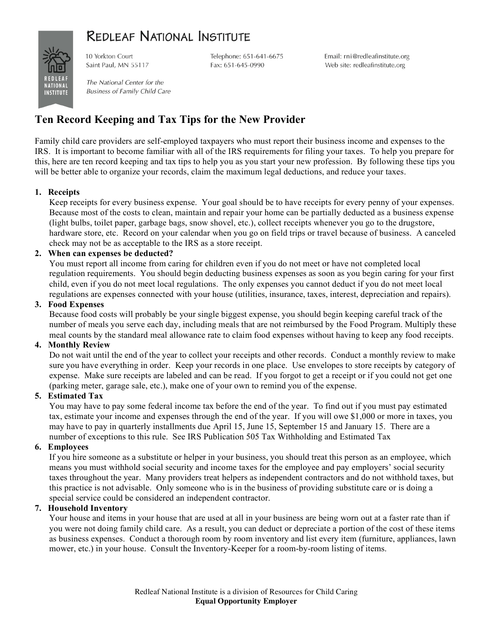## **REDLEAF NATIONAL INSTITUTE**



10 Yorkton Court Saint Paul, MN 55117

Telephone: 651-641-6675 Fax: 651-645-0990

Email: rni@redleafinstitute.org Web site: redleafinstitute.org

The National Center for the **Business of Family Child Care** 

### **Ten Record Keeping and Tax Tips for the New Provider**

Family child care providers are self-employed taxpayers who must report their business income and expenses to the IRS. It is important to become familiar with all of the IRS requirements for filing your taxes. To help you prepare for this, here are ten record keeping and tax tips to help you as you start your new profession. By following these tips you will be better able to organize your records, claim the maximum legal deductions, and reduce your taxes.

#### **1. Receipts**

Keep receipts for every business expense. Your goal should be to have receipts for every penny of your expenses. Because most of the costs to clean, maintain and repair your home can be partially deducted as a business expense (light bulbs, toilet paper, garbage bags, snow shovel, etc.), collect receipts whenever you go to the drugstore, hardware store, etc. Record on your calendar when you go on field trips or travel because of business. A canceled check may not be as acceptable to the IRS as a store receipt.

#### **2. When can expenses be deducted?**

You must report all income from caring for children even if you do not meet or have not completed local regulation requirements. You should begin deducting business expenses as soon as you begin caring for your first child, even if you do not meet local regulations. The only expenses you cannot deduct if you do not meet local regulations are expenses connected with your house (utilities, insurance, taxes, interest, depreciation and repairs).

#### **3. Food Expenses**

Because food costs will probably be your single biggest expense, you should begin keeping careful track of the number of meals you serve each day, including meals that are not reimbursed by the Food Program. Multiply these meal counts by the standard meal allowance rate to claim food expenses without having to keep any food receipts.

#### **4. Monthly Review**

Do not wait until the end of the year to collect your receipts and other records. Conduct a monthly review to make sure you have everything in order. Keep your records in one place. Use envelopes to store receipts by category of expense. Make sure receipts are labeled and can be read. If you forgot to get a receipt or if you could not get one (parking meter, garage sale, etc.), make one of your own to remind you of the expense.

#### **5. Estimated Tax**

You may have to pay some federal income tax before the end of the year. To find out if you must pay estimated tax, estimate your income and expenses through the end of the year. If you will owe \$1,000 or more in taxes, you may have to pay in quarterly installments due April 15, June 15, September 15 and January 15. There are a number of exceptions to this rule. See IRS Publication 505 Tax Withholding and Estimated Tax

#### **6. Employees**

If you hire someone as a substitute or helper in your business, you should treat this person as an employee, which means you must withhold social security and income taxes for the employee and pay employers' social security taxes throughout the year. Many providers treat helpers as independent contractors and do not withhold taxes, but this practice is not advisable. Only someone who is in the business of providing substitute care or is doing a special service could be considered an independent contractor.

#### **7. Household Inventory**

Your house and items in your house that are used at all in your business are being worn out at a faster rate than if you were not doing family child care. As a result, you can deduct or depreciate a portion of the cost of these items as business expenses. Conduct a thorough room by room inventory and list every item (furniture, appliances, lawn mower, etc.) in your house. Consult the Inventory-Keeper for a room-by-room listing of items.